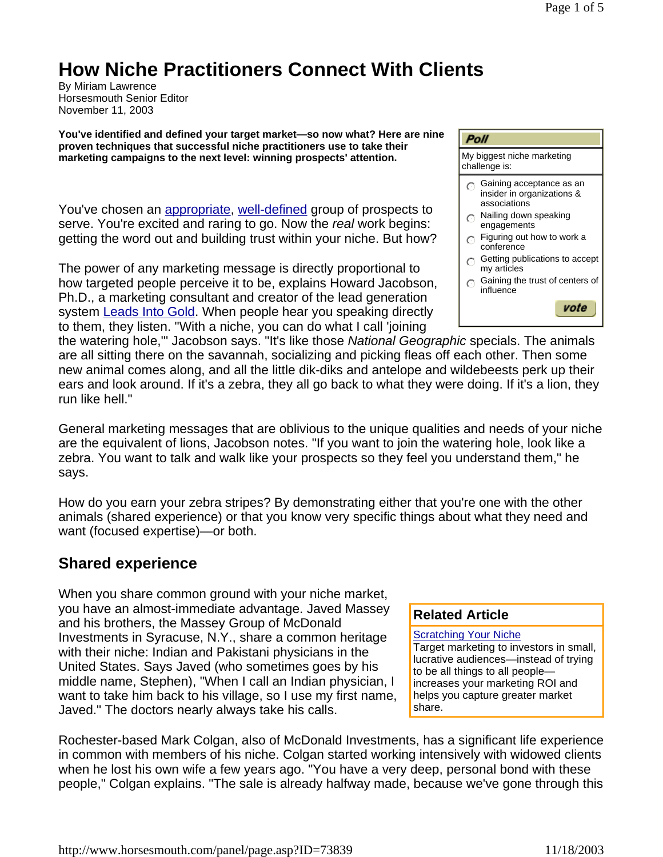# **How Niche Practitioners Connect With Clients**

By Miriam Lawrence Horsesmouth Senior Editor November 11, 2003

**You've identified and defined your target market—so now what? Here are nine proven techniques that successful niche practitioners use to take their marketing campaigns to the next level: winning prospects' attention.** 

You've chosen an appropriate, well-defined group of prospects to serve. You're excited and raring to go. Now the *real* work begins: getting the word out and building trust within your niche. But how?

The power of any marketing message is directly proportional to how targeted people perceive it to be, explains Howard Jacobson, Ph.D., a marketing consultant and creator of the lead generation system Leads Into Gold. When people hear you speaking directly to them, they listen. "With a niche, you can do what I call 'joining

## **Poll**

My biggest niche marketing challenge is:

- $\bigcap$  Gaining acceptance as an insider in organizations & associations
- $\bigcap$  Nailing down speaking engagements
- $\bigcap$  Figuring out how to work a conference
- $\odot$  Getting publications to accept my articles
- $\bigcirc$  Gaining the trust of centers of influence



the watering hole,'" Jacobson says. "It's like those *National Geographic* specials. The animals are all sitting there on the savannah, socializing and picking fleas off each other. Then some new animal comes along, and all the little dik-diks and antelope and wildebeests perk up their ears and look around. If it's a zebra, they all go back to what they were doing. If it's a lion, they run like hell."

General marketing messages that are oblivious to the unique qualities and needs of your niche are the equivalent of lions, Jacobson notes. "If you want to join the watering hole, look like a zebra. You want to talk and walk like your prospects so they feel you understand them," he says.

How do you earn your zebra stripes? By demonstrating either that you're one with the other animals (shared experience) or that you know very specific things about what they need and want (focused expertise)—or both.

## **Shared experience**

When you share common ground with your niche market, you have an almost-immediate advantage. Javed Massey and his brothers, the Massey Group of McDonald Investments in Syracuse, N.Y., share a common heritage with their niche: Indian and Pakistani physicians in the United States. Says Javed (who sometimes goes by his middle name, Stephen), "When I call an Indian physician, I want to take him back to his village, so I use my first name, Javed." The doctors nearly always take his calls.

#### **Related Article**

Scratching Your Niche

Target marketing to investors in small, lucrative audiences—instead of trying to be all things to all people increases your marketing ROI and helps you capture greater market share.

Rochester-based Mark Colgan, also of McDonald Investments, has a significant life experience in common with members of his niche. Colgan started working intensively with widowed clients when he lost his own wife a few years ago. "You have a very deep, personal bond with these people," Colgan explains. "The sale is already halfway made, because we've gone through this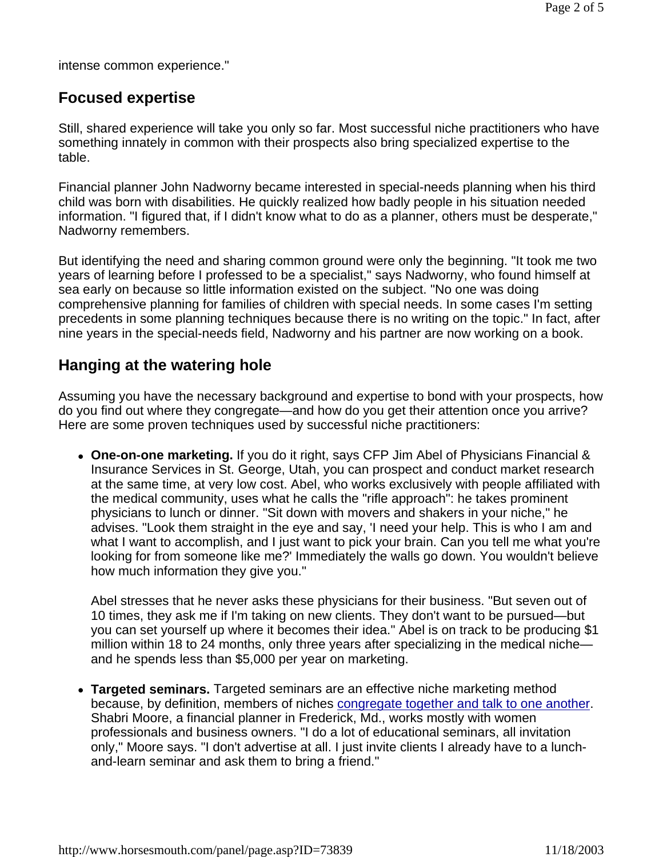intense common experience."

## **Focused expertise**

Still, shared experience will take you only so far. Most successful niche practitioners who have something innately in common with their prospects also bring specialized expertise to the table.

Financial planner John Nadworny became interested in special-needs planning when his third child was born with disabilities. He quickly realized how badly people in his situation needed information. "I figured that, if I didn't know what to do as a planner, others must be desperate," Nadworny remembers.

But identifying the need and sharing common ground were only the beginning. "It took me two years of learning before I professed to be a specialist," says Nadworny, who found himself at sea early on because so little information existed on the subject. "No one was doing comprehensive planning for families of children with special needs. In some cases I'm setting precedents in some planning techniques because there is no writing on the topic." In fact, after nine years in the special-needs field, Nadworny and his partner are now working on a book.

## **Hanging at the watering hole**

Assuming you have the necessary background and expertise to bond with your prospects, how do you find out where they congregate—and how do you get their attention once you arrive? Here are some proven techniques used by successful niche practitioners:

• One-on-one marketing. If you do it right, says CFP Jim Abel of Physicians Financial & Insurance Services in St. George, Utah, you can prospect and conduct market research at the same time, at very low cost. Abel, who works exclusively with people affiliated with the medical community, uses what he calls the "rifle approach": he takes prominent physicians to lunch or dinner. "Sit down with movers and shakers in your niche," he advises. "Look them straight in the eye and say, 'I need your help. This is who I am and what I want to accomplish, and I just want to pick your brain. Can you tell me what you're looking for from someone like me?' Immediately the walls go down. You wouldn't believe how much information they give you."

Abel stresses that he never asks these physicians for their business. "But seven out of 10 times, they ask me if I'm taking on new clients. They don't want to be pursued—but you can set yourself up where it becomes their idea." Abel is on track to be producing \$1 million within 18 to 24 months, only three years after specializing in the medical niche and he spends less than \$5,000 per year on marketing.

• **Targeted seminars.** Targeted seminars are an effective niche marketing method because, by definition, members of niches congregate together and talk to one another. Shabri Moore, a financial planner in Frederick, Md., works mostly with women professionals and business owners. "I do a lot of educational seminars, all invitation only," Moore says. "I don't advertise at all. I just invite clients I already have to a lunchand-learn seminar and ask them to bring a friend."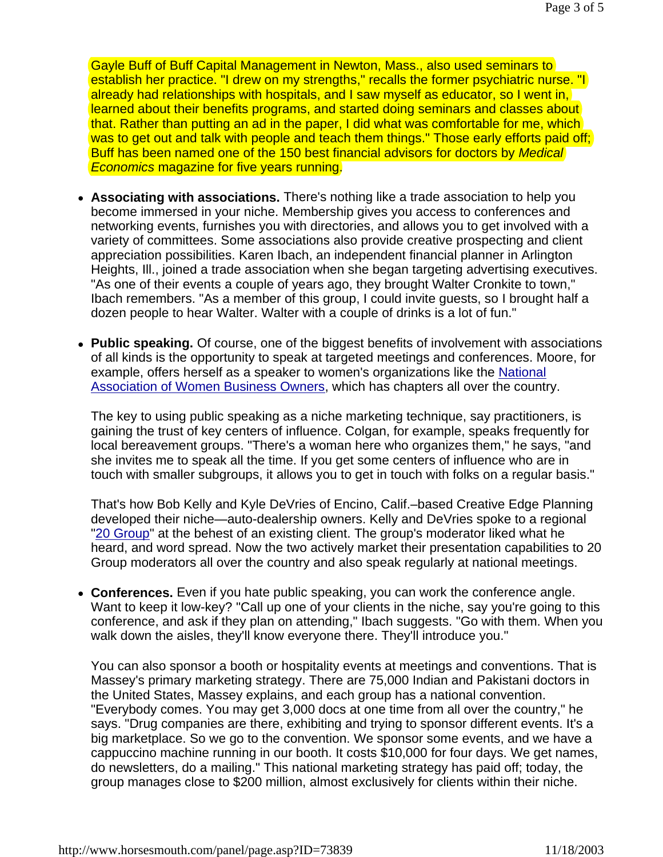Gayle Buff of Buff Capital Management in Newton, Mass., also used seminars to establish her practice. "I drew on my strengths," recalls the former psychiatric nurse. "I already had relationships with hospitals, and I saw myself as educator, so I went in, learned about their benefits programs, and started doing seminars and classes about that. Rather than putting an ad in the paper, I did what was comfortable for me, which was to get out and talk with people and teach them things." Those early efforts paid off; Buff has been named one of the 150 best financial advisors for doctors by *Medical Economics* magazine for five years running.

- Associating with associations. There's nothing like a trade association to help you become immersed in your niche. Membership gives you access to conferences and networking events, furnishes you with directories, and allows you to get involved with a variety of committees. Some associations also provide creative prospecting and client appreciation possibilities. Karen Ibach, an independent financial planner in Arlington Heights, Ill., joined a trade association when she began targeting advertising executives. "As one of their events a couple of years ago, they brought Walter Cronkite to town," Ibach remembers. "As a member of this group, I could invite guests, so I brought half a dozen people to hear Walter. Walter with a couple of drinks is a lot of fun."
- Public speaking. Of course, one of the biggest benefits of involvement with associations of all kinds is the opportunity to speak at targeted meetings and conferences. Moore, for example, offers herself as a speaker to women's organizations like the National Association of Women Business Owners, which has chapters all over the country.

The key to using public speaking as a niche marketing technique, say practitioners, is gaining the trust of key centers of influence. Colgan, for example, speaks frequently for local bereavement groups. "There's a woman here who organizes them," he says, "and she invites me to speak all the time. If you get some centers of influence who are in touch with smaller subgroups, it allows you to get in touch with folks on a regular basis."

That's how Bob Kelly and Kyle DeVries of Encino, Calif.–based Creative Edge Planning developed their niche—auto-dealership owners. Kelly and DeVries spoke to a regional "20 Group" at the behest of an existing client. The group's moderator liked what he heard, and word spread. Now the two actively market their presentation capabilities to 20 Group moderators all over the country and also speak regularly at national meetings.

• Conferences. Even if you hate public speaking, you can work the conference angle. Want to keep it low-key? "Call up one of your clients in the niche, say you're going to this conference, and ask if they plan on attending," Ibach suggests. "Go with them. When you walk down the aisles, they'll know everyone there. They'll introduce you."

You can also sponsor a booth or hospitality events at meetings and conventions. That is Massey's primary marketing strategy. There are 75,000 Indian and Pakistani doctors in the United States, Massey explains, and each group has a national convention. "Everybody comes. You may get 3,000 docs at one time from all over the country," he says. "Drug companies are there, exhibiting and trying to sponsor different events. It's a big marketplace. So we go to the convention. We sponsor some events, and we have a cappuccino machine running in our booth. It costs \$10,000 for four days. We get names, do newsletters, do a mailing." This national marketing strategy has paid off; today, the group manages close to \$200 million, almost exclusively for clients within their niche.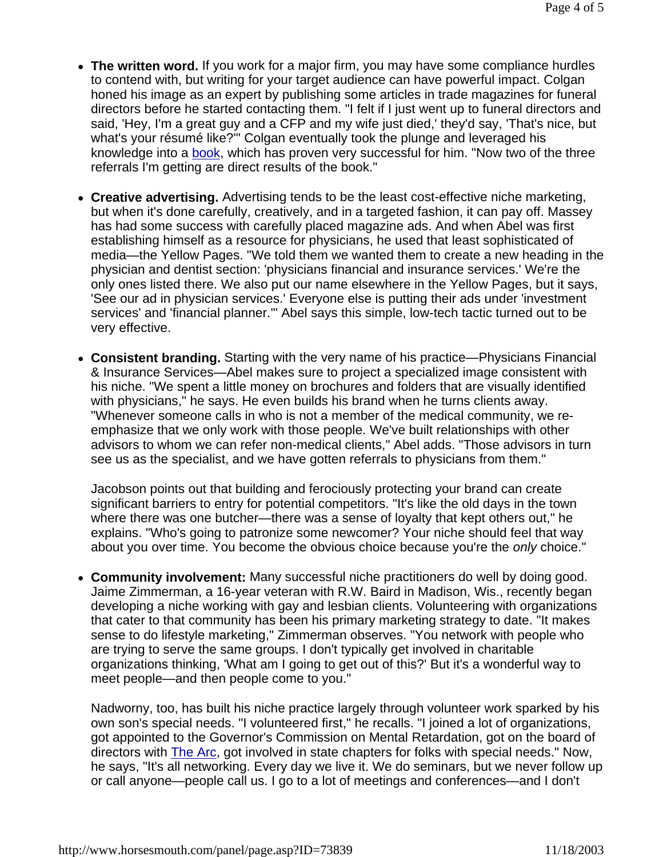- The written word. If you work for a major firm, you may have some compliance hurdles to contend with, but writing for your target audience can have powerful impact. Colgan honed his image as an expert by publishing some articles in trade magazines for funeral directors before he started contacting them. "I felt if I just went up to funeral directors and said, 'Hey, I'm a great guy and a CFP and my wife just died,' they'd say, 'That's nice, but what's your résumé like?'" Colgan eventually took the plunge and leveraged his knowledge into a book, which has proven very successful for him. "Now two of the three referrals I'm getting are direct results of the book."
- Creative advertising. Advertising tends to be the least cost-effective niche marketing, but when it's done carefully, creatively, and in a targeted fashion, it can pay off. Massey has had some success with carefully placed magazine ads. And when Abel was first establishing himself as a resource for physicians, he used that least sophisticated of media—the Yellow Pages. "We told them we wanted them to create a new heading in the physician and dentist section: 'physicians financial and insurance services.' We're the only ones listed there. We also put our name elsewhere in the Yellow Pages, but it says, 'See our ad in physician services.' Everyone else is putting their ads under 'investment services' and 'financial planner.'" Abel says this simple, low-tech tactic turned out to be very effective.
- **Consistent branding.** Starting with the very name of his practice—Physicians Financial & Insurance Services—Abel makes sure to project a specialized image consistent with his niche. "We spent a little money on brochures and folders that are visually identified with physicians," he says. He even builds his brand when he turns clients away. "Whenever someone calls in who is not a member of the medical community, we reemphasize that we only work with those people. We've built relationships with other advisors to whom we can refer non-medical clients," Abel adds. "Those advisors in turn see us as the specialist, and we have gotten referrals to physicians from them."

Jacobson points out that building and ferociously protecting your brand can create significant barriers to entry for potential competitors. "It's like the old days in the town where there was one butcher—there was a sense of loyalty that kept others out," he explains. "Who's going to patronize some newcomer? Your niche should feel that way about you over time. You become the obvious choice because you're the *only* choice."

• Community involvement: Many successful niche practitioners do well by doing good. Jaime Zimmerman, a 16-year veteran with R.W. Baird in Madison, Wis., recently began developing a niche working with gay and lesbian clients. Volunteering with organizations that cater to that community has been his primary marketing strategy to date. "It makes sense to do lifestyle marketing," Zimmerman observes. "You network with people who are trying to serve the same groups. I don't typically get involved in charitable organizations thinking, 'What am I going to get out of this?' But it's a wonderful way to meet people—and then people come to you."

Nadworny, too, has built his niche practice largely through volunteer work sparked by his own son's special needs. "I volunteered first," he recalls. "I joined a lot of organizations, got appointed to the Governor's Commission on Mental Retardation, got on the board of directors with The Arc, got involved in state chapters for folks with special needs." Now, he says, "It's all networking. Every day we live it. We do seminars, but we never follow up or call anyone—people call us. I go to a lot of meetings and conferences—and I don't